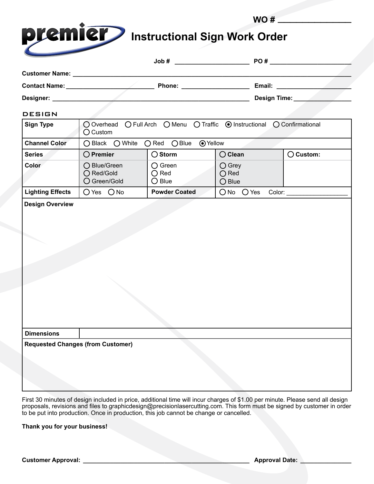| premier               | WO#<br><b>Instructional Sign Work Order</b> |        |  |  |  |
|-----------------------|---------------------------------------------|--------|--|--|--|
|                       | Job#                                        | PO#    |  |  |  |
| <b>Customer Name:</b> |                                             |        |  |  |  |
| <b>Contact Name:</b>  | <b>Phone:</b>                               | Email: |  |  |  |

|  |  |  | __________ |  |  |  |
|--|--|--|------------|--|--|--|
|  |  |  |            |  |  |  |
|  |  |  |            |  |  |  |
|  |  |  |            |  |  |  |

**Designer: \_\_\_\_\_\_\_\_\_\_\_\_\_\_\_\_\_\_\_\_\_\_\_\_\_\_\_\_\_\_\_\_\_\_\_\_\_\_\_\_\_\_\_\_\_\_\_\_\_\_\_\_\_\_\_\_\_\_ Design Time: \_\_\_\_\_\_\_\_\_\_\_\_\_\_\_\_\_**

## DESIGN

| Sign Type               | ○ Overhead ○ Full Arch ○ Menu ○ Traffic ● Instructional ○ Confirmational<br>(C) Custom |                                                       |                                                     |                    |  |  |
|-------------------------|----------------------------------------------------------------------------------------|-------------------------------------------------------|-----------------------------------------------------|--------------------|--|--|
| <b>Channel Color</b>    | $\bigcirc$ Black $\bigcirc$ White<br>$\bigcirc$ Blue<br>⊙ Yellow<br>$\bigcirc$ Red     |                                                       |                                                     |                    |  |  |
| Series                  | $\bigcirc$ Premier                                                                     | $\bigcirc$ Storm                                      | $\bigcirc$ Clean                                    | $\bigcirc$ Custom: |  |  |
| <b>Color</b>            | ◯ Blue/Green<br>$\bigcirc$ Red/Gold<br>○ Green/Gold                                    | $\bigcirc$ Green<br>$\bigcirc$ Red<br>$\bigcirc$ Blue | $\bigcirc$ Grey<br>$\bigcap$ Red<br>$\bigcirc$ Blue |                    |  |  |
| <b>Lighting Effects</b> | Yes<br>()No                                                                            | <b>Powder Coated</b>                                  | $\bigcirc$ No<br>Color:<br>Yes                      |                    |  |  |

| <b>Design Overview</b>                   |  |  |
|------------------------------------------|--|--|
|                                          |  |  |
|                                          |  |  |
|                                          |  |  |
|                                          |  |  |
|                                          |  |  |
|                                          |  |  |
|                                          |  |  |
|                                          |  |  |
|                                          |  |  |
| <b>Dimensions</b>                        |  |  |
| <b>Requested Changes (from Customer)</b> |  |  |
|                                          |  |  |
|                                          |  |  |
|                                          |  |  |
|                                          |  |  |

First 30 minutes of design included in price, additional time will incur charges of \$1.00 per minute. Please send all design proposals, revisions and files to graphicdesign@precisionlasercutting.com. This form must be signed by customer in order to be put into production. Once in production, this job cannot be change or cancelled.

**Thank you for your business!**